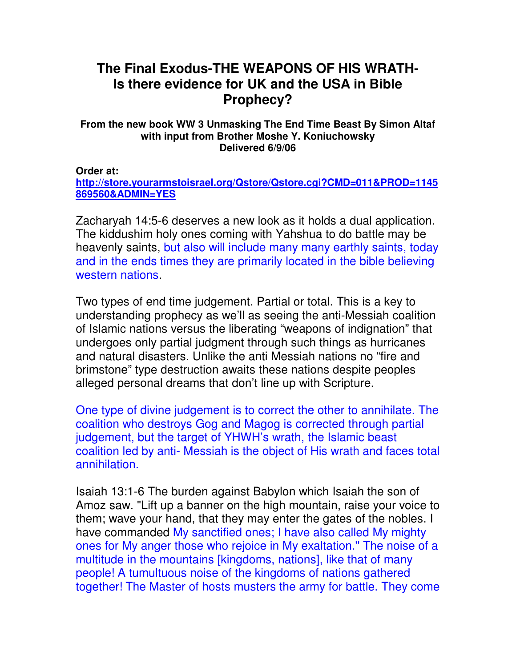## **The Final Exodus-THE WEAPONS OF HIS WRATH-Is there evidence for UK and the USA in Bible Prophecy?**

## **From the new book WW 3 Unmasking The End Time Beast By Simon Altaf with input from Brother Moshe Y. Koniuchowsky Delivered 6/9/06**

## **Order at:**

**http://store.yourarmstoisrael.org/Qstore/Qstore.cgi?CMD=011&PROD=1145 869560&ADMIN=YES**

Zacharyah 14:5-6 deserves a new look as it holds a dual application. The kiddushim holy ones coming with Yahshua to do battle may be heavenly saints, but also will include many many earthly saints, today and in the ends times they are primarily located in the bible believing western nations.

Two types of end time judgement. Partial or total. This is a key to understanding prophecy as we'll as seeing the anti-Messiah coalition of Islamic nations versus the liberating "weapons of indignation" that undergoes only partial judgment through such things as hurricanes and natural disasters. Unlike the anti Messiah nations no "fire and brimstone" type destruction awaits these nations despite peoples alleged personal dreams that don't line up with Scripture.

One type of divine judgement is to correct the other to annihilate. The coalition who destroys Gog and Magog is corrected through partial judgement, but the target of YHWH's wrath, the Islamic beast coalition led by anti- Messiah is the object of His wrath and faces total annihilation.

Isaiah 13:1-6 The burden against Babylon which Isaiah the son of Amoz saw. "Lift up a banner on the high mountain, raise your voice to them; wave your hand, that they may enter the gates of the nobles. I have commanded My sanctified ones; I have also called My mighty ones for My anger those who rejoice in My exaltation.'' The noise of a multitude in the mountains [kingdoms, nations], like that of many people! A tumultuous noise of the kingdoms of nations gathered together! The Master of hosts musters the army for battle. They come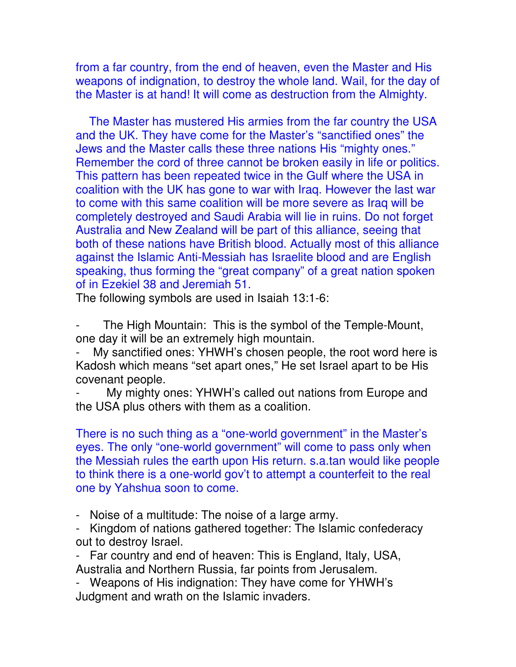from a far country, from the end of heaven, even the Master and His weapons of indignation, to destroy the whole land. Wail, for the day of the Master is at hand! It will come as destruction from the Almighty.

 The Master has mustered His armies from the far country the USA and the UK. They have come for the Master's "sanctified ones" the Jews and the Master calls these three nations His "mighty ones." Remember the cord of three cannot be broken easily in life or politics. This pattern has been repeated twice in the Gulf where the USA in coalition with the UK has gone to war with Iraq. However the last war to come with this same coalition will be more severe as Iraq will be completely destroyed and Saudi Arabia will lie in ruins. Do not forget Australia and New Zealand will be part of this alliance, seeing that both of these nations have British blood. Actually most of this alliance against the Islamic Anti-Messiah has Israelite blood and are English speaking, thus forming the "great company" of a great nation spoken of in Ezekiel 38 and Jeremiah 51.

The following symbols are used in Isaiah 13:1-6:

The High Mountain: This is the symbol of the Temple-Mount, one day it will be an extremely high mountain.

My sanctified ones: YHWH's chosen people, the root word here is Kadosh which means "set apart ones," He set Israel apart to be His covenant people.

My mighty ones: YHWH's called out nations from Europe and the USA plus others with them as a coalition.

There is no such thing as a "one-world government" in the Master's eyes. The only "one-world government" will come to pass only when the Messiah rules the earth upon His return. s.a.tan would like people to think there is a one-world gov't to attempt a counterfeit to the real one by Yahshua soon to come.

- Noise of a multitude: The noise of a large army.

- Kingdom of nations gathered together: The Islamic confederacy out to destroy Israel.

- Far country and end of heaven: This is England, Italy, USA, Australia and Northern Russia, far points from Jerusalem.

- Weapons of His indignation: They have come for YHWH's Judgment and wrath on the Islamic invaders.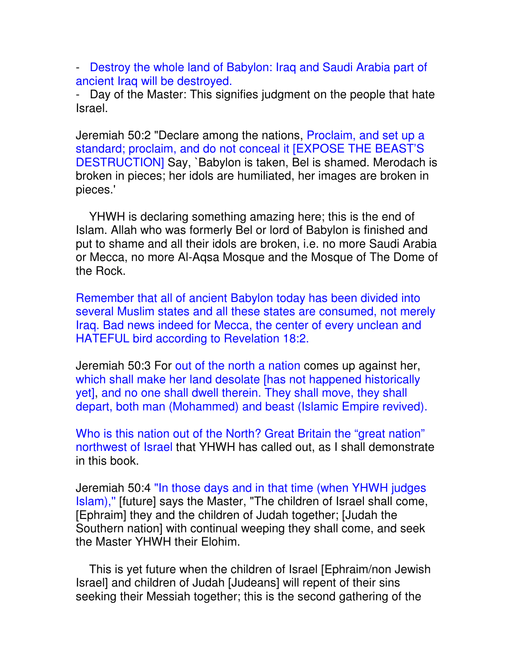- Destroy the whole land of Babylon: Iraq and Saudi Arabia part of ancient Iraq will be destroyed.

- Day of the Master: This signifies judgment on the people that hate Israel.

Jeremiah 50:2 "Declare among the nations, Proclaim, and set up a standard; proclaim, and do not conceal it [EXPOSE THE BEAST'S DESTRUCTION] Say, `Babylon is taken, Bel is shamed. Merodach is broken in pieces; her idols are humiliated, her images are broken in pieces.'

 YHWH is declaring something amazing here; this is the end of Islam. Allah who was formerly Bel or lord of Babylon is finished and put to shame and all their idols are broken, i.e. no more Saudi Arabia or Mecca, no more Al-Aqsa Mosque and the Mosque of The Dome of the Rock.

Remember that all of ancient Babylon today has been divided into several Muslim states and all these states are consumed, not merely Iraq. Bad news indeed for Mecca, the center of every unclean and HATEFUL bird according to Revelation 18:2.

Jeremiah 50:3 For out of the north a nation comes up against her, which shall make her land desolate [has not happened historically yet], and no one shall dwell therein. They shall move, they shall depart, both man (Mohammed) and beast (Islamic Empire revived).

Who is this nation out of the North? Great Britain the "great nation" northwest of Israel that YHWH has called out, as I shall demonstrate in this book.

Jeremiah 50:4 "In those days and in that time (when YHWH judges Islam),'' [future] says the Master, "The children of Israel shall come, [Ephraim] they and the children of Judah together; [Judah the Southern nation] with continual weeping they shall come, and seek the Master YHWH their Elohim.

 This is yet future when the children of Israel [Ephraim/non Jewish Israel] and children of Judah [Judeans] will repent of their sins seeking their Messiah together; this is the second gathering of the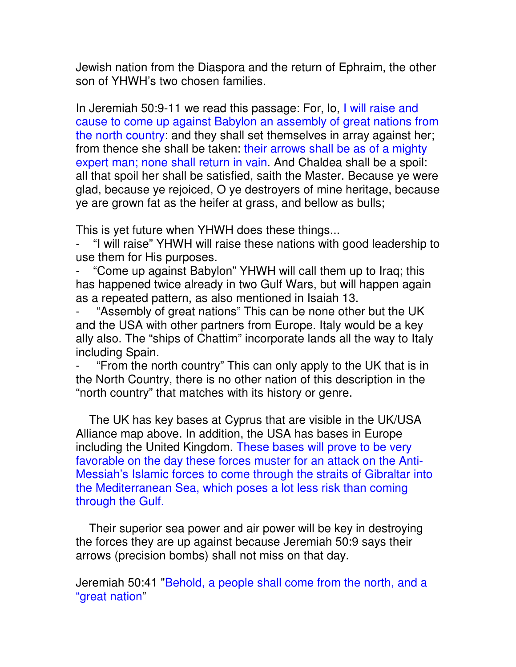Jewish nation from the Diaspora and the return of Ephraim, the other son of YHWH's two chosen families.

In Jeremiah 50:9-11 we read this passage: For, lo, I will raise and cause to come up against Babylon an assembly of great nations from the north country: and they shall set themselves in array against her; from thence she shall be taken: their arrows shall be as of a mighty expert man; none shall return in vain. And Chaldea shall be a spoil: all that spoil her shall be satisfied, saith the Master. Because ye were glad, because ye rejoiced, O ye destroyers of mine heritage, because ye are grown fat as the heifer at grass, and bellow as bulls;

This is yet future when YHWH does these things...

"I will raise" YHWH will raise these nations with good leadership to use them for His purposes.

"Come up against Babylon" YHWH will call them up to Iraq; this has happened twice already in two Gulf Wars, but will happen again as a repeated pattern, as also mentioned in Isaiah 13.

"Assembly of great nations" This can be none other but the UK and the USA with other partners from Europe. Italy would be a key ally also. The "ships of Chattim" incorporate lands all the way to Italy including Spain.

"From the north country" This can only apply to the UK that is in the North Country, there is no other nation of this description in the "north country" that matches with its history or genre.

 The UK has key bases at Cyprus that are visible in the UK/USA Alliance map above. In addition, the USA has bases in Europe including the United Kingdom. These bases will prove to be very favorable on the day these forces muster for an attack on the Anti-Messiah's Islamic forces to come through the straits of Gibraltar into the Mediterranean Sea, which poses a lot less risk than coming through the Gulf.

 Their superior sea power and air power will be key in destroying the forces they are up against because Jeremiah 50:9 says their arrows (precision bombs) shall not miss on that day.

Jeremiah 50:41 "Behold, a people shall come from the north, and a "great nation"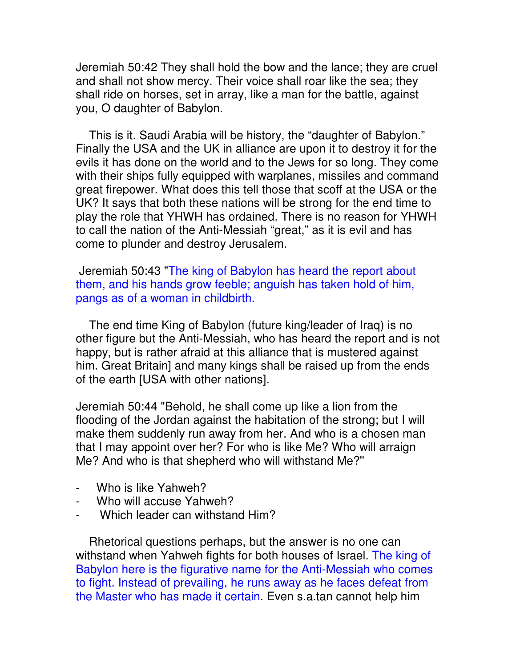Jeremiah 50:42 They shall hold the bow and the lance; they are cruel and shall not show mercy. Their voice shall roar like the sea; they shall ride on horses, set in array, like a man for the battle, against you, O daughter of Babylon.

 This is it. Saudi Arabia will be history, the "daughter of Babylon." Finally the USA and the UK in alliance are upon it to destroy it for the evils it has done on the world and to the Jews for so long. They come with their ships fully equipped with warplanes, missiles and command great firepower. What does this tell those that scoff at the USA or the UK? It says that both these nations will be strong for the end time to play the role that YHWH has ordained. There is no reason for YHWH to call the nation of the Anti-Messiah "great," as it is evil and has come to plunder and destroy Jerusalem.

 Jeremiah 50:43 "The king of Babylon has heard the report about them, and his hands grow feeble; anguish has taken hold of him, pangs as of a woman in childbirth.

 The end time King of Babylon (future king/leader of Iraq) is no other figure but the Anti-Messiah, who has heard the report and is not happy, but is rather afraid at this alliance that is mustered against him. Great Britain] and many kings shall be raised up from the ends of the earth [USA with other nations].

Jeremiah 50:44 "Behold, he shall come up like a lion from the flooding of the Jordan against the habitation of the strong; but I will make them suddenly run away from her. And who is a chosen man that I may appoint over her? For who is like Me? Who will arraign Me? And who is that shepherd who will withstand Me?''

- Who is like Yahweh?
- Who will accuse Yahweh?
- Which leader can withstand Him?

 Rhetorical questions perhaps, but the answer is no one can withstand when Yahweh fights for both houses of Israel. The king of Babylon here is the figurative name for the Anti-Messiah who comes to fight. Instead of prevailing, he runs away as he faces defeat from the Master who has made it certain. Even s.a.tan cannot help him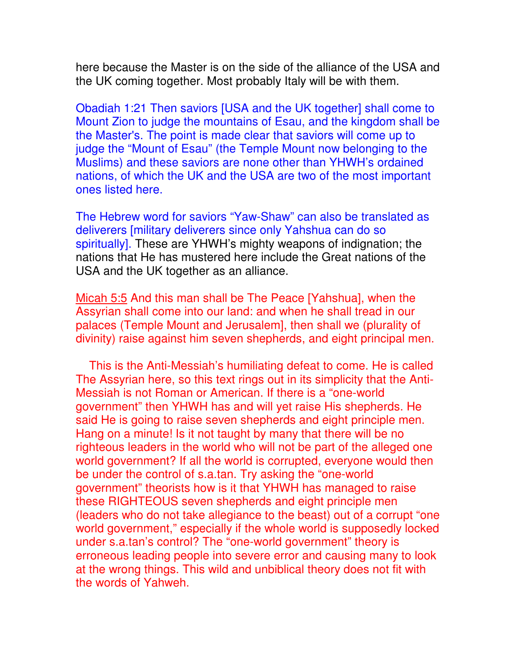here because the Master is on the side of the alliance of the USA and the UK coming together. Most probably Italy will be with them.

Obadiah 1:21 Then saviors [USA and the UK together] shall come to Mount Zion to judge the mountains of Esau, and the kingdom shall be the Master's. The point is made clear that saviors will come up to judge the "Mount of Esau" (the Temple Mount now belonging to the Muslims) and these saviors are none other than YHWH's ordained nations, of which the UK and the USA are two of the most important ones listed here.

The Hebrew word for saviors "Yaw-Shaw" can also be translated as deliverers [military deliverers since only Yahshua can do so spiritually]. These are YHWH's mighty weapons of indignation; the nations that He has mustered here include the Great nations of the USA and the UK together as an alliance.

Micah 5:5 And this man shall be The Peace [Yahshua], when the Assyrian shall come into our land: and when he shall tread in our palaces (Temple Mount and Jerusalem], then shall we (plurality of divinity) raise against him seven shepherds, and eight principal men.

 This is the Anti-Messiah's humiliating defeat to come. He is called The Assyrian here, so this text rings out in its simplicity that the Anti-Messiah is not Roman or American. If there is a "one-world government" then YHWH has and will yet raise His shepherds. He said He is going to raise seven shepherds and eight principle men. Hang on a minute! Is it not taught by many that there will be no righteous leaders in the world who will not be part of the alleged one world government? If all the world is corrupted, everyone would then be under the control of s.a.tan. Try asking the "one-world government" theorists how is it that YHWH has managed to raise these RIGHTEOUS seven shepherds and eight principle men (leaders who do not take allegiance to the beast) out of a corrupt "one world government," especially if the whole world is supposedly locked under s.a.tan's control? The "one-world government" theory is erroneous leading people into severe error and causing many to look at the wrong things. This wild and unbiblical theory does not fit with the words of Yahweh.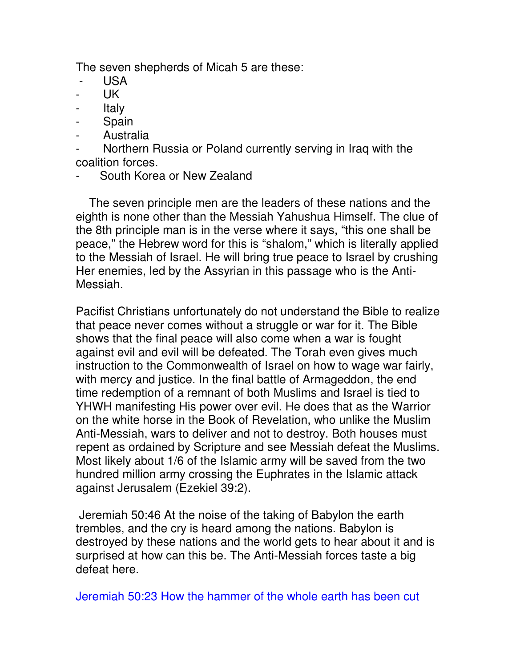The seven shepherds of Micah 5 are these:

- USA
- UK
- Italy
- Spain
- Australia
- Northern Russia or Poland currently serving in Iraq with the coalition forces.
- South Korea or New Zealand

 The seven principle men are the leaders of these nations and the eighth is none other than the Messiah Yahushua Himself. The clue of the 8th principle man is in the verse where it says, "this one shall be peace," the Hebrew word for this is "shalom," which is literally applied to the Messiah of Israel. He will bring true peace to Israel by crushing Her enemies, led by the Assyrian in this passage who is the Anti-Messiah.

Pacifist Christians unfortunately do not understand the Bible to realize that peace never comes without a struggle or war for it. The Bible shows that the final peace will also come when a war is fought against evil and evil will be defeated. The Torah even gives much instruction to the Commonwealth of Israel on how to wage war fairly, with mercy and justice. In the final battle of Armageddon, the end time redemption of a remnant of both Muslims and Israel is tied to YHWH manifesting His power over evil. He does that as the Warrior on the white horse in the Book of Revelation, who unlike the Muslim Anti-Messiah, wars to deliver and not to destroy. Both houses must repent as ordained by Scripture and see Messiah defeat the Muslims. Most likely about 1/6 of the Islamic army will be saved from the two hundred million army crossing the Euphrates in the Islamic attack against Jerusalem (Ezekiel 39:2).

 Jeremiah 50:46 At the noise of the taking of Babylon the earth trembles, and the cry is heard among the nations. Babylon is destroyed by these nations and the world gets to hear about it and is surprised at how can this be. The Anti-Messiah forces taste a big defeat here.

Jeremiah 50:23 How the hammer of the whole earth has been cut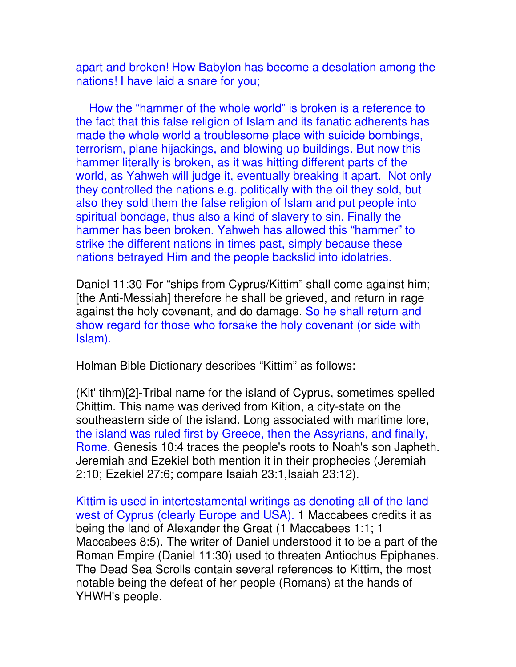apart and broken! How Babylon has become a desolation among the nations! I have laid a snare for you;

 How the "hammer of the whole world" is broken is a reference to the fact that this false religion of Islam and its fanatic adherents has made the whole world a troublesome place with suicide bombings, terrorism, plane hijackings, and blowing up buildings. But now this hammer literally is broken, as it was hitting different parts of the world, as Yahweh will judge it, eventually breaking it apart. Not only they controlled the nations e.g. politically with the oil they sold, but also they sold them the false religion of Islam and put people into spiritual bondage, thus also a kind of slavery to sin. Finally the hammer has been broken. Yahweh has allowed this "hammer" to strike the different nations in times past, simply because these nations betrayed Him and the people backslid into idolatries.

Daniel 11:30 For "ships from Cyprus/Kittim" shall come against him; [the Anti-Messiah] therefore he shall be grieved, and return in rage against the holy covenant, and do damage. So he shall return and show regard for those who forsake the holy covenant (or side with Islam).

Holman Bible Dictionary describes "Kittim" as follows:

(Kit' tihm)[2]-Tribal name for the island of Cyprus, sometimes spelled Chittim. This name was derived from Kition, a city-state on the southeastern side of the island. Long associated with maritime lore, the island was ruled first by Greece, then the Assyrians, and finally, Rome. Genesis 10:4 traces the people's roots to Noah's son Japheth. Jeremiah and Ezekiel both mention it in their prophecies (Jeremiah 2:10; Ezekiel 27:6; compare Isaiah 23:1,Isaiah 23:12).

Kittim is used in intertestamental writings as denoting all of the land west of Cyprus (clearly Europe and USA). 1 Maccabees credits it as being the land of Alexander the Great (1 Maccabees 1:1; 1 Maccabees 8:5). The writer of Daniel understood it to be a part of the Roman Empire (Daniel 11:30) used to threaten Antiochus Epiphanes. The Dead Sea Scrolls contain several references to Kittim, the most notable being the defeat of her people (Romans) at the hands of YHWH's people.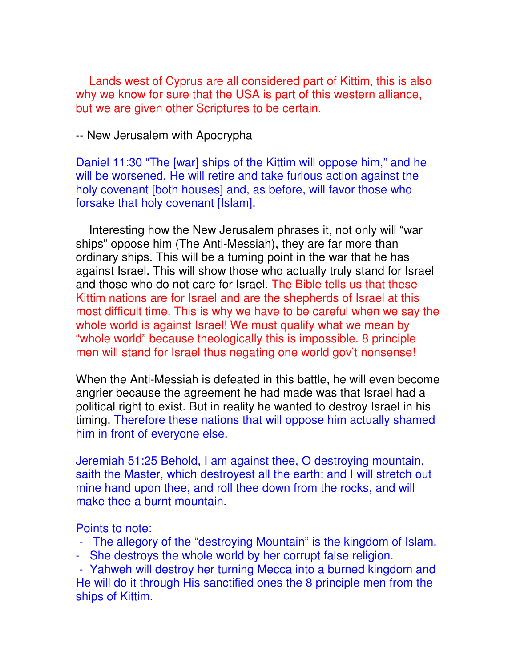Lands west of Cyprus are all considered part of Kittim, this is also why we know for sure that the USA is part of this western alliance, but we are given other Scriptures to be certain.

-- New Jerusalem with Apocrypha

Daniel 11:30 "The [war] ships of the Kittim will oppose him," and he will be worsened. He will retire and take furious action against the holy covenant [both houses] and, as before, will favor those who forsake that holy covenant [Islam].

 Interesting how the New Jerusalem phrases it, not only will "war ships" oppose him (The Anti-Messiah), they are far more than ordinary ships. This will be a turning point in the war that he has against Israel. This will show those who actually truly stand for Israel and those who do not care for Israel. The Bible tells us that these Kittim nations are for Israel and are the shepherds of Israel at this most difficult time. This is why we have to be careful when we say the whole world is against Israel! We must qualify what we mean by "whole world" because theologically this is impossible. 8 principle men will stand for Israel thus negating one world gov't nonsense!

When the Anti-Messiah is defeated in this battle, he will even become angrier because the agreement he had made was that Israel had a political right to exist. But in reality he wanted to destroy Israel in his timing. Therefore these nations that will oppose him actually shamed him in front of everyone else.

Jeremiah 51:25 Behold, I am against thee, O destroying mountain, saith the Master, which destroyest all the earth: and I will stretch out mine hand upon thee, and roll thee down from the rocks, and will make thee a burnt mountain.

Points to note:

- The allegory of the "destroying Mountain" is the kingdom of Islam.
- She destroys the whole world by her corrupt false religion.

 - Yahweh will destroy her turning Mecca into a burned kingdom and He will do it through His sanctified ones the 8 principle men from the ships of Kittim.